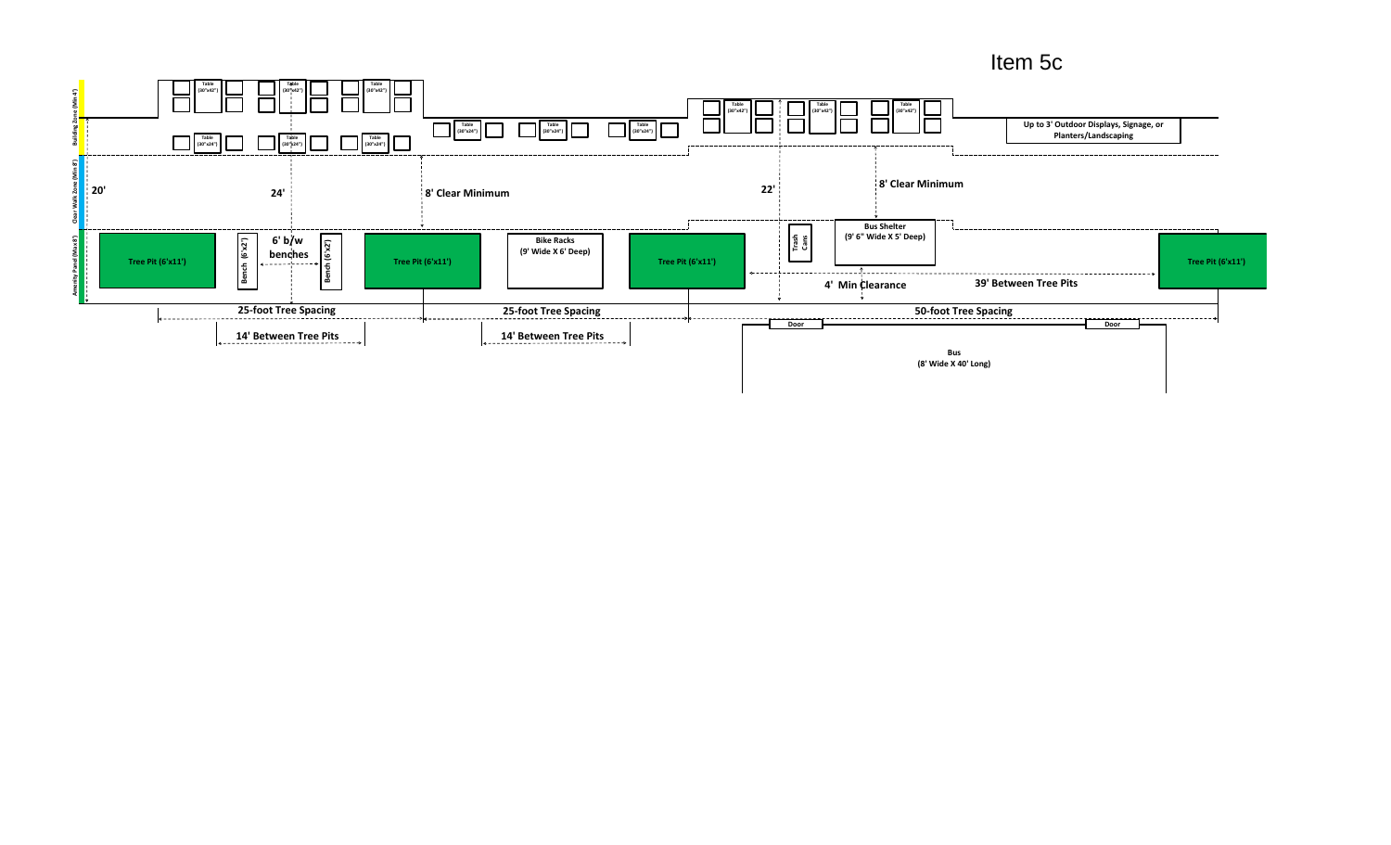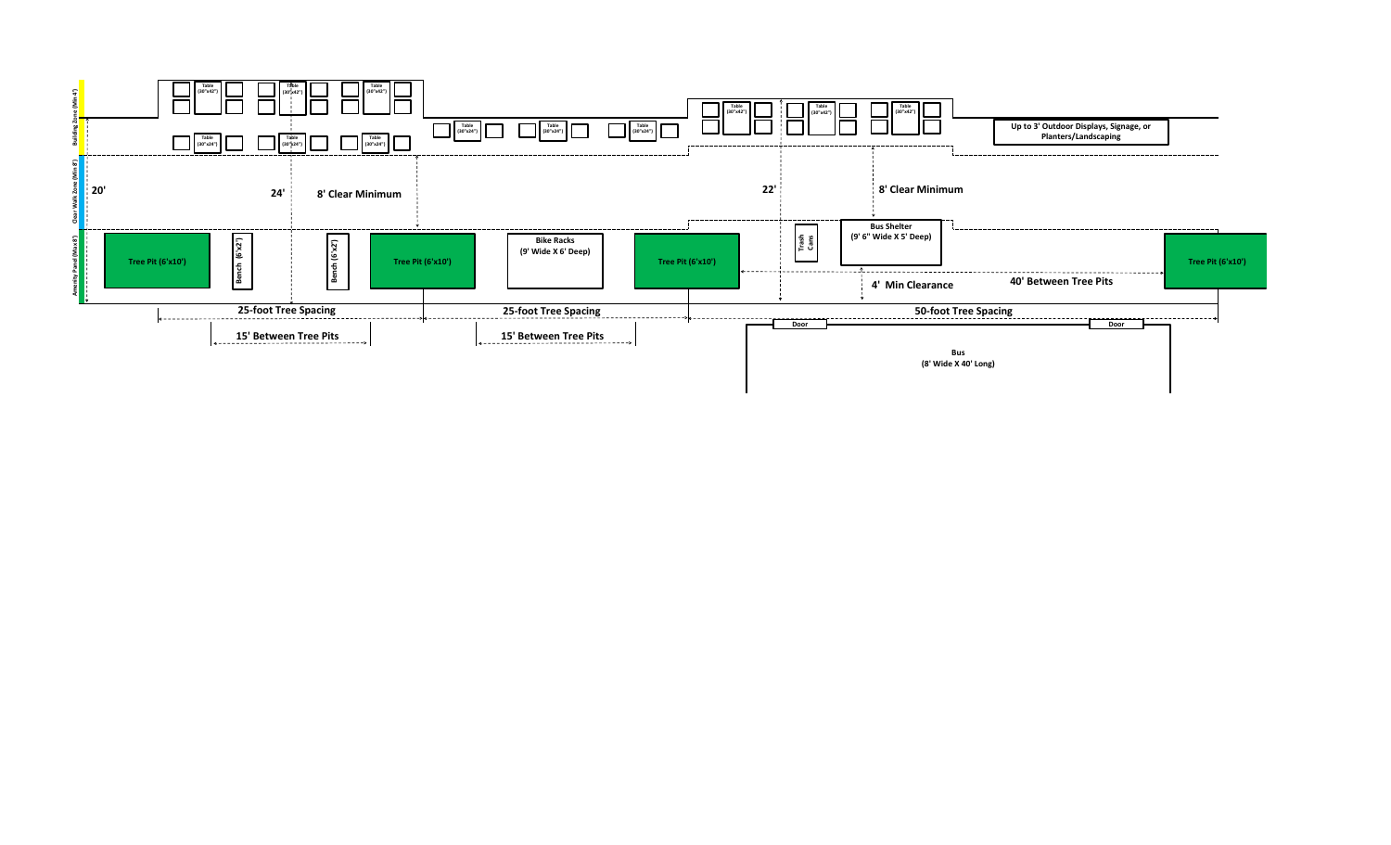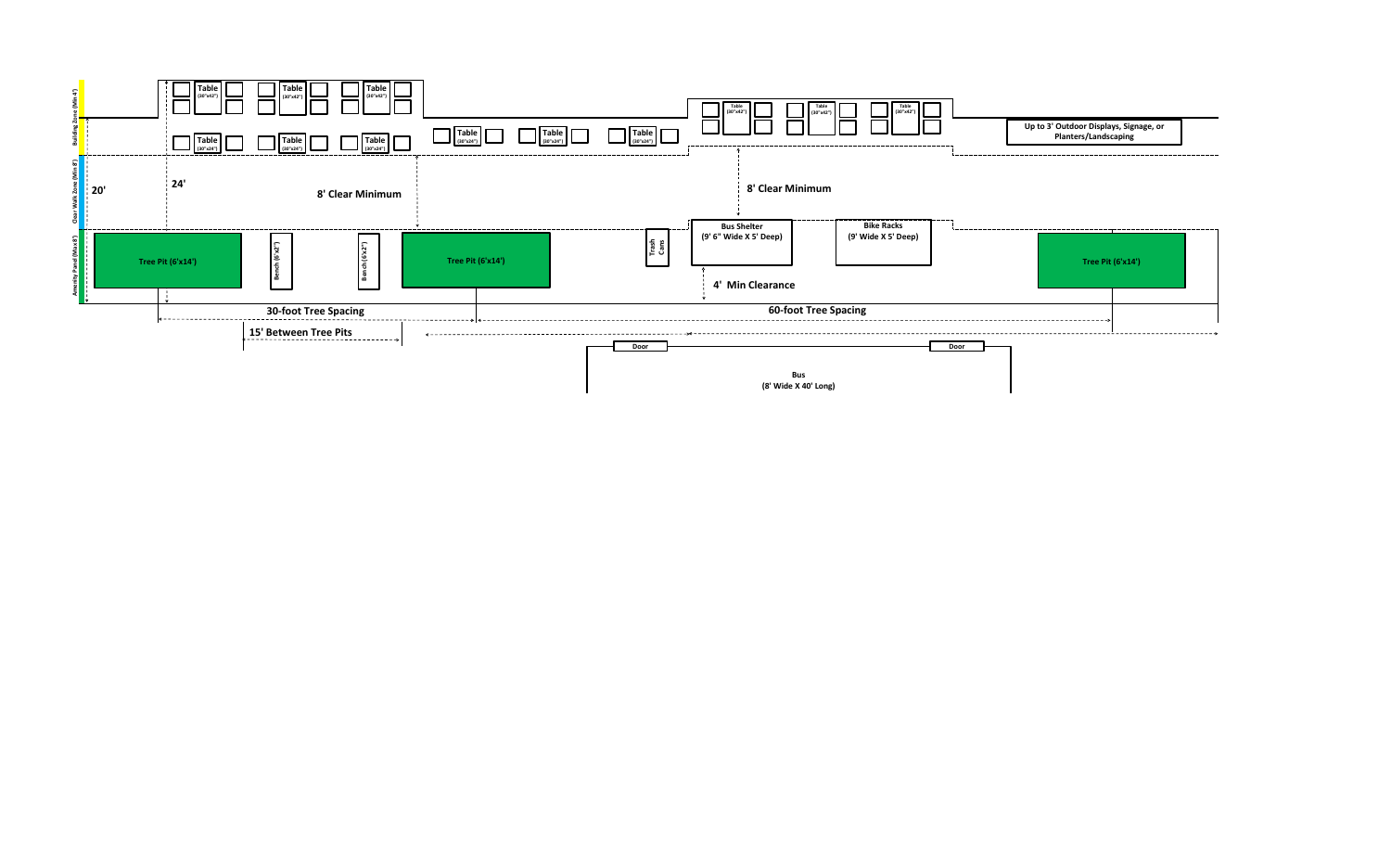